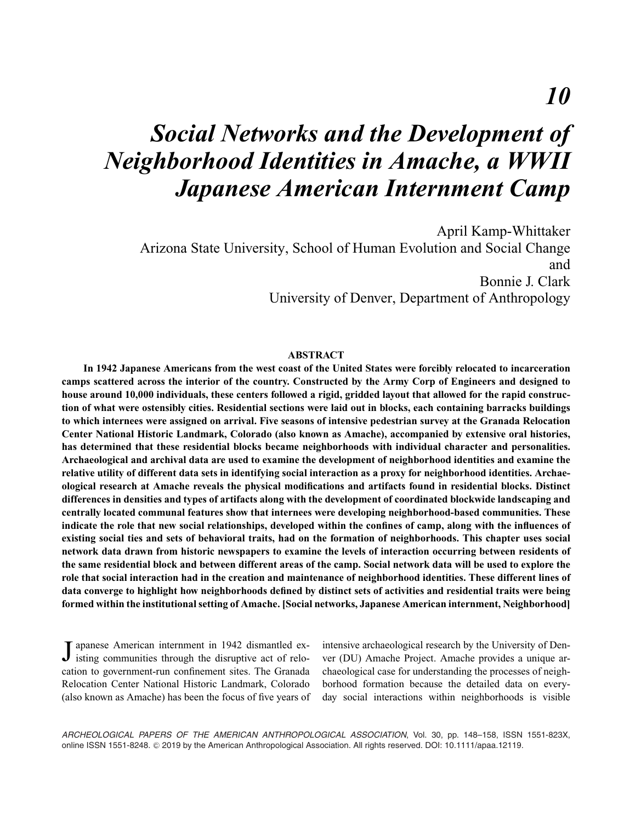# *Social Networks and the Development of Neighborhood Identities in Amache, a WWII Japanese American Internment Camp*

April Kamp-Whittaker Arizona State University, School of Human Evolution and Social Change and Bonnie J. Clark University of Denver, Department of Anthropology

### **ABSTRACT**

**In 1942 Japanese Americans from the west coast of the United States were forcibly relocated to incarceration camps scattered across the interior of the country. Constructed by the Army Corp of Engineers and designed to house around 10,000 individuals, these centers followed a rigid, gridded layout that allowed for the rapid construction of what were ostensibly cities. Residential sections were laid out in blocks, each containing barracks buildings to which internees were assigned on arrival. Five seasons of intensive pedestrian survey at the Granada Relocation Center National Historic Landmark, Colorado (also known as Amache), accompanied by extensive oral histories, has determined that these residential blocks became neighborhoods with individual character and personalities. Archaeological and archival data are used to examine the development of neighborhood identities and examine the relative utility of different data sets in identifying social interaction as a proxy for neighborhood identities. Archaeological research at Amache reveals the physical modifications and artifacts found in residential blocks. Distinct differences in densities and types of artifacts along with the development of coordinated blockwide landscaping and centrally located communal features show that internees were developing neighborhood-based communities. These indicate the role that new social relationships, developed within the confines of camp, along with the influences of existing social ties and sets of behavioral traits, had on the formation of neighborhoods. This chapter uses social network data drawn from historic newspapers to examine the levels of interaction occurring between residents of the same residential block and between different areas of the camp. Social network data will be used to explore the role that social interaction had in the creation and maintenance of neighborhood identities. These different lines of data converge to highlight how neighborhoods defined by distinct sets of activities and residential traits were being formed within the institutional setting of Amache. [Social networks, Japanese American internment, Neighborhood]**

J apanese American internment in 1942 dismantled ex-isting communities through the disruptive act of relocation to government-run confinement sites. The Granada Relocation Center National Historic Landmark, Colorado (also known as Amache) has been the focus of five years of intensive archaeological research by the University of Denver (DU) Amache Project. Amache provides a unique archaeological case for understanding the processes of neighborhood formation because the detailed data on everyday social interactions within neighborhoods is visible

*ARCHEOLOGICAL PAPERS OF THE AMERICAN ANTHROPOLOGICAL ASSOCIATION*, Vol. 30, pp. 148–158, ISSN 1551-823X, online ISSN 1551-8248. © 2019 by the American Anthropological Association. All rights reserved. DOI: 10.1111/apaa.12119.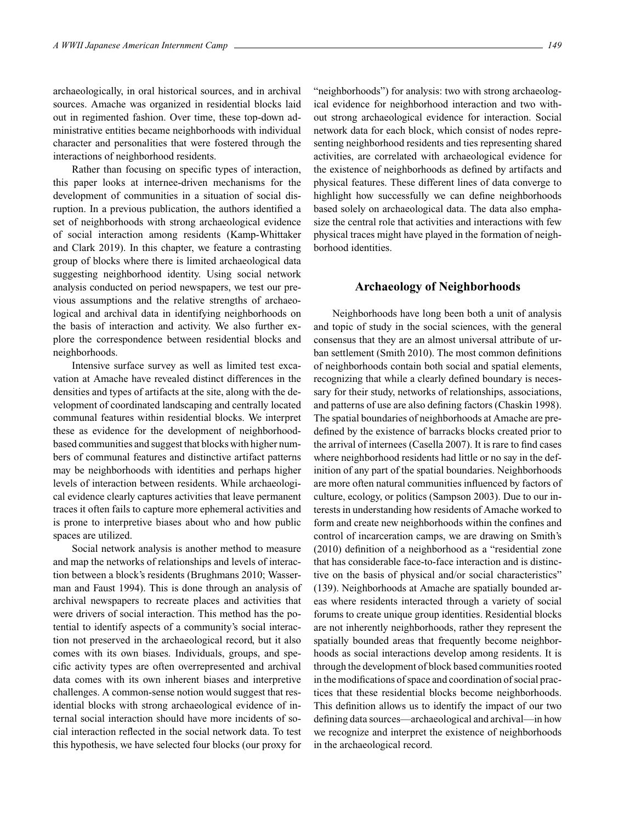archaeologically, in oral historical sources, and in archival sources. Amache was organized in residential blocks laid out in regimented fashion. Over time, these top-down administrative entities became neighborhoods with individual character and personalities that were fostered through the interactions of neighborhood residents.

Rather than focusing on specific types of interaction, this paper looks at internee-driven mechanisms for the development of communities in a situation of social disruption. In a previous publication, the authors identified a set of neighborhoods with strong archaeological evidence of social interaction among residents (Kamp-Whittaker and Clark 2019). In this chapter, we feature a contrasting group of blocks where there is limited archaeological data suggesting neighborhood identity. Using social network analysis conducted on period newspapers, we test our previous assumptions and the relative strengths of archaeological and archival data in identifying neighborhoods on the basis of interaction and activity. We also further explore the correspondence between residential blocks and neighborhoods.

Intensive surface survey as well as limited test excavation at Amache have revealed distinct differences in the densities and types of artifacts at the site, along with the development of coordinated landscaping and centrally located communal features within residential blocks. We interpret these as evidence for the development of neighborhoodbased communities and suggest that blocks with higher numbers of communal features and distinctive artifact patterns may be neighborhoods with identities and perhaps higher levels of interaction between residents. While archaeological evidence clearly captures activities that leave permanent traces it often fails to capture more ephemeral activities and is prone to interpretive biases about who and how public spaces are utilized.

Social network analysis is another method to measure and map the networks of relationships and levels of interaction between a block's residents (Brughmans 2010; Wasserman and Faust 1994). This is done through an analysis of archival newspapers to recreate places and activities that were drivers of social interaction. This method has the potential to identify aspects of a community's social interaction not preserved in the archaeological record, but it also comes with its own biases. Individuals, groups, and specific activity types are often overrepresented and archival data comes with its own inherent biases and interpretive challenges. A common-sense notion would suggest that residential blocks with strong archaeological evidence of internal social interaction should have more incidents of social interaction reflected in the social network data. To test this hypothesis, we have selected four blocks (our proxy for

"neighborhoods") for analysis: two with strong archaeological evidence for neighborhood interaction and two without strong archaeological evidence for interaction. Social network data for each block, which consist of nodes representing neighborhood residents and ties representing shared activities, are correlated with archaeological evidence for the existence of neighborhoods as defined by artifacts and physical features. These different lines of data converge to highlight how successfully we can define neighborhoods based solely on archaeological data. The data also emphasize the central role that activities and interactions with few physical traces might have played in the formation of neighborhood identities.

### **Archaeology of Neighborhoods**

Neighborhoods have long been both a unit of analysis and topic of study in the social sciences, with the general consensus that they are an almost universal attribute of urban settlement (Smith 2010). The most common definitions of neighborhoods contain both social and spatial elements, recognizing that while a clearly defined boundary is necessary for their study, networks of relationships, associations, and patterns of use are also defining factors (Chaskin 1998). The spatial boundaries of neighborhoods at Amache are predefined by the existence of barracks blocks created prior to the arrival of internees (Casella 2007). It is rare to find cases where neighborhood residents had little or no say in the definition of any part of the spatial boundaries. Neighborhoods are more often natural communities influenced by factors of culture, ecology, or politics (Sampson 2003). Due to our interests in understanding how residents of Amache worked to form and create new neighborhoods within the confines and control of incarceration camps, we are drawing on Smith's (2010) definition of a neighborhood as a "residential zone that has considerable face-to-face interaction and is distinctive on the basis of physical and/or social characteristics" (139). Neighborhoods at Amache are spatially bounded areas where residents interacted through a variety of social forums to create unique group identities. Residential blocks are not inherently neighborhoods, rather they represent the spatially bounded areas that frequently become neighborhoods as social interactions develop among residents. It is through the development of block based communities rooted in the modifications of space and coordination of social practices that these residential blocks become neighborhoods. This definition allows us to identify the impact of our two defining data sources—archaeological and archival—in how we recognize and interpret the existence of neighborhoods in the archaeological record.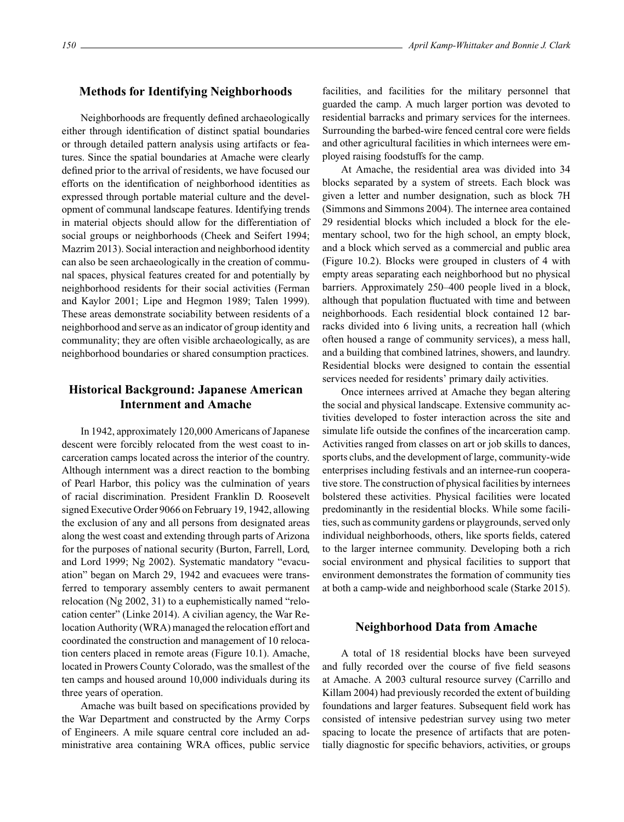## **Methods for Identifying Neighborhoods**

Neighborhoods are frequently defined archaeologically either through identification of distinct spatial boundaries or through detailed pattern analysis using artifacts or features. Since the spatial boundaries at Amache were clearly defined prior to the arrival of residents, we have focused our efforts on the identification of neighborhood identities as expressed through portable material culture and the development of communal landscape features. Identifying trends in material objects should allow for the differentiation of social groups or neighborhoods (Cheek and Seifert 1994; Mazrim 2013). Social interaction and neighborhood identity can also be seen archaeologically in the creation of communal spaces, physical features created for and potentially by neighborhood residents for their social activities (Ferman and Kaylor 2001; Lipe and Hegmon 1989; Talen 1999). These areas demonstrate sociability between residents of a neighborhood and serve as an indicator of group identity and communality; they are often visible archaeologically, as are neighborhood boundaries or shared consumption practices.

## **Historical Background: Japanese American Internment and Amache**

In 1942, approximately 120,000 Americans of Japanese descent were forcibly relocated from the west coast to incarceration camps located across the interior of the country. Although internment was a direct reaction to the bombing of Pearl Harbor, this policy was the culmination of years of racial discrimination. President Franklin D. Roosevelt signed Executive Order 9066 on February 19, 1942, allowing the exclusion of any and all persons from designated areas along the west coast and extending through parts of Arizona for the purposes of national security (Burton, Farrell, Lord, and Lord 1999; Ng 2002). Systematic mandatory "evacuation" began on March 29, 1942 and evacuees were transferred to temporary assembly centers to await permanent relocation (Ng 2002, 31) to a euphemistically named "relocation center" (Linke 2014). A civilian agency, the War Relocation Authority (WRA) managed the relocation effort and coordinated the construction and management of 10 relocation centers placed in remote areas (Figure 10.1). Amache, located in Prowers County Colorado, was the smallest of the ten camps and housed around 10,000 individuals during its three years of operation.

Amache was built based on specifications provided by the War Department and constructed by the Army Corps of Engineers. A mile square central core included an administrative area containing WRA offices, public service

facilities, and facilities for the military personnel that guarded the camp. A much larger portion was devoted to residential barracks and primary services for the internees. Surrounding the barbed-wire fenced central core were fields and other agricultural facilities in which internees were employed raising foodstuffs for the camp.

At Amache, the residential area was divided into 34 blocks separated by a system of streets. Each block was given a letter and number designation, such as block 7H (Simmons and Simmons 2004). The internee area contained 29 residential blocks which included a block for the elementary school, two for the high school, an empty block, and a block which served as a commercial and public area (Figure 10.2). Blocks were grouped in clusters of 4 with empty areas separating each neighborhood but no physical barriers. Approximately 250–400 people lived in a block, although that population fluctuated with time and between neighborhoods. Each residential block contained 12 barracks divided into 6 living units, a recreation hall (which often housed a range of community services), a mess hall, and a building that combined latrines, showers, and laundry. Residential blocks were designed to contain the essential services needed for residents' primary daily activities.

Once internees arrived at Amache they began altering the social and physical landscape. Extensive community activities developed to foster interaction across the site and simulate life outside the confines of the incarceration camp. Activities ranged from classes on art or job skills to dances, sports clubs, and the development of large, community-wide enterprises including festivals and an internee-run cooperative store. The construction of physical facilities by internees bolstered these activities. Physical facilities were located predominantly in the residential blocks. While some facilities, such as community gardens or playgrounds, served only individual neighborhoods, others, like sports fields, catered to the larger internee community. Developing both a rich social environment and physical facilities to support that environment demonstrates the formation of community ties at both a camp-wide and neighborhood scale (Starke 2015).

## **Neighborhood Data from Amache**

A total of 18 residential blocks have been surveyed and fully recorded over the course of five field seasons at Amache. A 2003 cultural resource survey (Carrillo and Killam 2004) had previously recorded the extent of building foundations and larger features. Subsequent field work has consisted of intensive pedestrian survey using two meter spacing to locate the presence of artifacts that are potentially diagnostic for specific behaviors, activities, or groups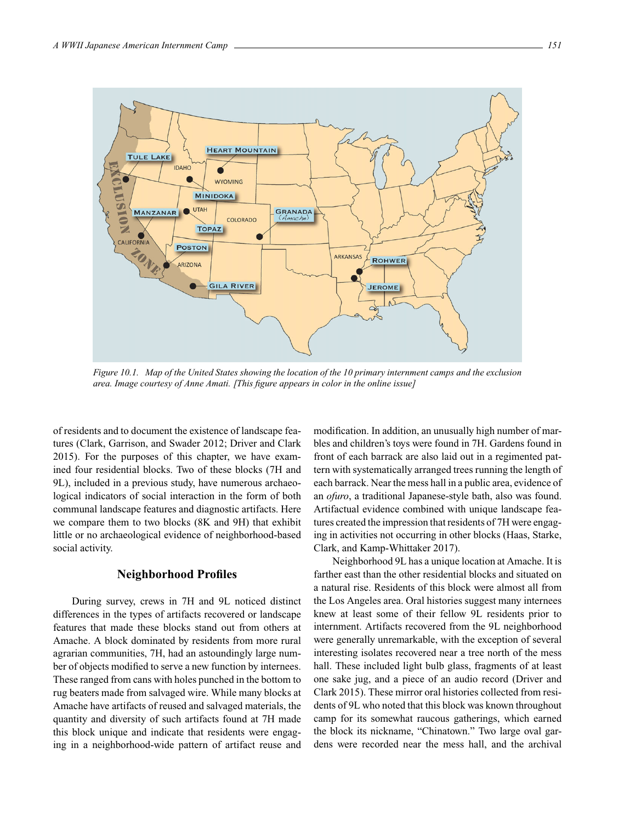

*Figure 10.1. Map of the United States showing the location of the 10 primary internment camps and the exclusion area. Image courtesy of Anne Amati. [This figure appears in color in the online issue]*

of residents and to document the existence of landscape features (Clark, Garrison, and Swader 2012; Driver and Clark 2015). For the purposes of this chapter, we have examined four residential blocks. Two of these blocks (7H and 9L), included in a previous study, have numerous archaeological indicators of social interaction in the form of both communal landscape features and diagnostic artifacts. Here we compare them to two blocks (8K and 9H) that exhibit little or no archaeological evidence of neighborhood-based social activity.

## **Neighborhood Profiles**

During survey, crews in 7H and 9L noticed distinct differences in the types of artifacts recovered or landscape features that made these blocks stand out from others at Amache. A block dominated by residents from more rural agrarian communities, 7H, had an astoundingly large number of objects modified to serve a new function by internees. These ranged from cans with holes punched in the bottom to rug beaters made from salvaged wire. While many blocks at Amache have artifacts of reused and salvaged materials, the quantity and diversity of such artifacts found at 7H made this block unique and indicate that residents were engaging in a neighborhood-wide pattern of artifact reuse and modification. In addition, an unusually high number of marbles and children's toys were found in 7H. Gardens found in front of each barrack are also laid out in a regimented pattern with systematically arranged trees running the length of each barrack. Near the mess hall in a public area, evidence of an *ofuro*, a traditional Japanese-style bath, also was found. Artifactual evidence combined with unique landscape features created the impression that residents of 7H were engaging in activities not occurring in other blocks (Haas, Starke, Clark, and Kamp-Whittaker 2017).

Neighborhood 9L has a unique location at Amache. It is farther east than the other residential blocks and situated on a natural rise. Residents of this block were almost all from the Los Angeles area. Oral histories suggest many internees knew at least some of their fellow 9L residents prior to internment. Artifacts recovered from the 9L neighborhood were generally unremarkable, with the exception of several interesting isolates recovered near a tree north of the mess hall. These included light bulb glass, fragments of at least one sake jug, and a piece of an audio record (Driver and Clark 2015). These mirror oral histories collected from residents of 9L who noted that this block was known throughout camp for its somewhat raucous gatherings, which earned the block its nickname, "Chinatown." Two large oval gardens were recorded near the mess hall, and the archival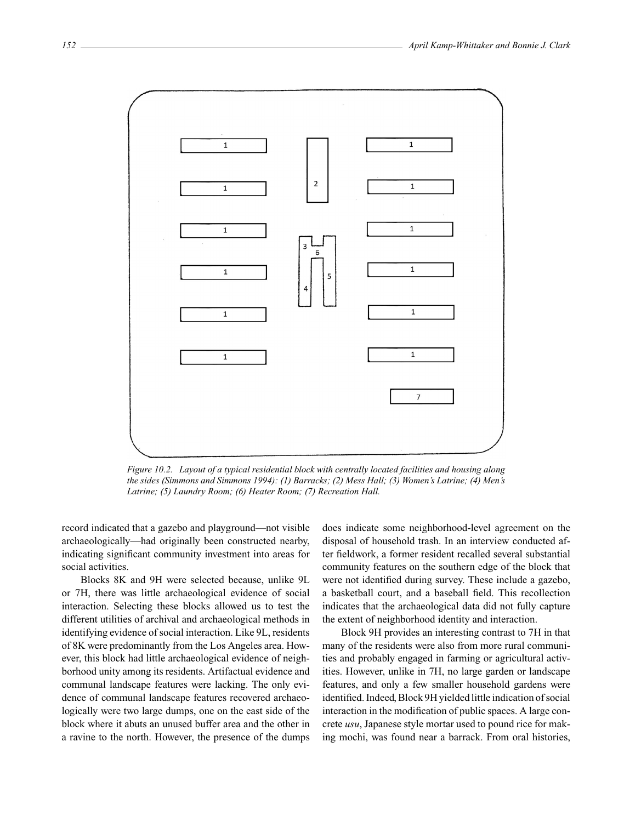

*Figure 10.2. Layout of a typical residential block with centrally located facilities and housing along the sides (Simmons and Simmons 1994): (1) Barracks; (2) Mess Hall; (3) Women's Latrine; (4) Men's Latrine; (5) Laundry Room; (6) Heater Room; (7) Recreation Hall.*

record indicated that a gazebo and playground—not visible archaeologically—had originally been constructed nearby, indicating significant community investment into areas for social activities.

Blocks 8K and 9H were selected because, unlike 9L or 7H, there was little archaeological evidence of social interaction. Selecting these blocks allowed us to test the different utilities of archival and archaeological methods in identifying evidence of social interaction. Like 9L, residents of 8K were predominantly from the Los Angeles area. However, this block had little archaeological evidence of neighborhood unity among its residents. Artifactual evidence and communal landscape features were lacking. The only evidence of communal landscape features recovered archaeologically were two large dumps, one on the east side of the block where it abuts an unused buffer area and the other in a ravine to the north. However, the presence of the dumps does indicate some neighborhood-level agreement on the disposal of household trash. In an interview conducted after fieldwork, a former resident recalled several substantial community features on the southern edge of the block that were not identified during survey. These include a gazebo, a basketball court, and a baseball field. This recollection indicates that the archaeological data did not fully capture the extent of neighborhood identity and interaction.

Block 9H provides an interesting contrast to 7H in that many of the residents were also from more rural communities and probably engaged in farming or agricultural activities. However, unlike in 7H, no large garden or landscape features, and only a few smaller household gardens were identified. Indeed, Block 9H yielded little indication of social interaction in the modification of public spaces. A large concrete *usu*, Japanese style mortar used to pound rice for making mochi, was found near a barrack. From oral histories,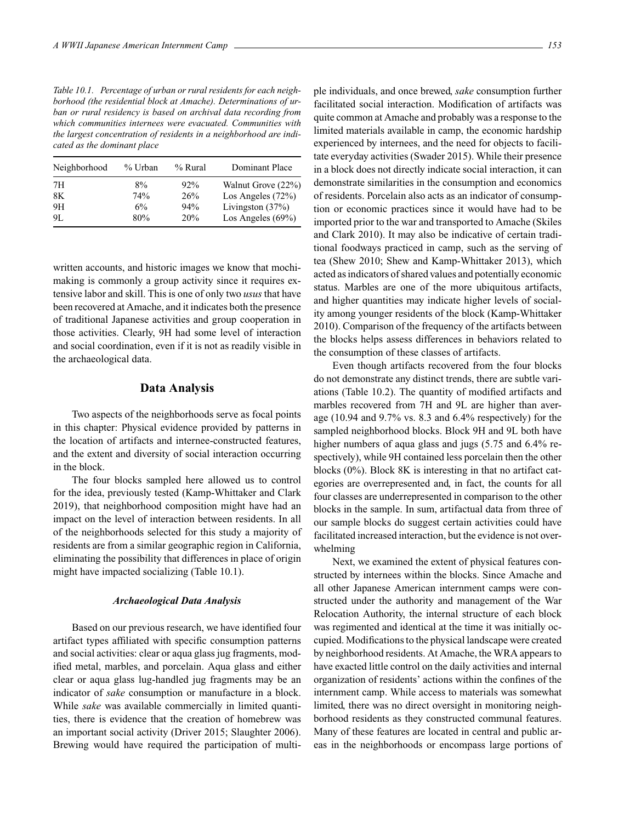*Table 10.1. Percentage of urban or rural residents for each neighborhood (the residential block at Amache). Determinations of urban or rural residency is based on archival data recording from which communities internees were evacuated. Communities with the largest concentration of residents in a neighborhood are indicated as the dominant place*

| Neighborhood | % Urban | % Rural | Dominant Place       |
|--------------|---------|---------|----------------------|
| 7H           | 8%      | $92\%$  | Walnut Grove (22%)   |
| 8K           | 74%     | 26%     | Los Angeles $(72%)$  |
| 9H           | 6%      | 94%     | Livingston $(37%)$   |
| 9L           | 80%     | 20%     | Los Angeles $(69\%)$ |

written accounts, and historic images we know that mochimaking is commonly a group activity since it requires extensive labor and skill. This is one of only two *usus* that have been recovered at Amache, and it indicates both the presence of traditional Japanese activities and group cooperation in those activities. Clearly, 9H had some level of interaction and social coordination, even if it is not as readily visible in the archaeological data.

### **Data Analysis**

Two aspects of the neighborhoods serve as focal points in this chapter: Physical evidence provided by patterns in the location of artifacts and internee-constructed features, and the extent and diversity of social interaction occurring in the block.

The four blocks sampled here allowed us to control for the idea, previously tested (Kamp-Whittaker and Clark 2019), that neighborhood composition might have had an impact on the level of interaction between residents. In all of the neighborhoods selected for this study a majority of residents are from a similar geographic region in California, eliminating the possibility that differences in place of origin might have impacted socializing (Table 10.1).

#### *Archaeological Data Analysis*

Based on our previous research, we have identified four artifact types affiliated with specific consumption patterns and social activities: clear or aqua glass jug fragments, modified metal, marbles, and porcelain. Aqua glass and either clear or aqua glass lug-handled jug fragments may be an indicator of *sake* consumption or manufacture in a block. While *sake* was available commercially in limited quantities, there is evidence that the creation of homebrew was an important social activity (Driver 2015; Slaughter 2006). Brewing would have required the participation of multiple individuals, and once brewed, *sake* consumption further facilitated social interaction. Modification of artifacts was quite common at Amache and probably was a response to the limited materials available in camp, the economic hardship experienced by internees, and the need for objects to facilitate everyday activities (Swader 2015). While their presence in a block does not directly indicate social interaction, it can demonstrate similarities in the consumption and economics of residents. Porcelain also acts as an indicator of consumption or economic practices since it would have had to be imported prior to the war and transported to Amache (Skiles and Clark 2010). It may also be indicative of certain traditional foodways practiced in camp, such as the serving of tea (Shew 2010; Shew and Kamp-Whittaker 2013), which acted as indicators of shared values and potentially economic status. Marbles are one of the more ubiquitous artifacts, and higher quantities may indicate higher levels of sociality among younger residents of the block (Kamp-Whittaker 2010). Comparison of the frequency of the artifacts between the blocks helps assess differences in behaviors related to the consumption of these classes of artifacts.

Even though artifacts recovered from the four blocks do not demonstrate any distinct trends, there are subtle variations (Table 10.2). The quantity of modified artifacts and marbles recovered from 7H and 9L are higher than average (10.94 and 9.7% vs. 8.3 and 6.4% respectively) for the sampled neighborhood blocks. Block 9H and 9L both have higher numbers of aqua glass and jugs (5.75 and 6.4% respectively), while 9H contained less porcelain then the other blocks (0%). Block 8K is interesting in that no artifact categories are overrepresented and, in fact, the counts for all four classes are underrepresented in comparison to the other blocks in the sample. In sum, artifactual data from three of our sample blocks do suggest certain activities could have facilitated increased interaction, but the evidence is not overwhelming

Next, we examined the extent of physical features constructed by internees within the blocks. Since Amache and all other Japanese American internment camps were constructed under the authority and management of the War Relocation Authority, the internal structure of each block was regimented and identical at the time it was initially occupied. Modifications to the physical landscape were created by neighborhood residents. At Amache, the WRA appears to have exacted little control on the daily activities and internal organization of residents' actions within the confines of the internment camp. While access to materials was somewhat limited, there was no direct oversight in monitoring neighborhood residents as they constructed communal features. Many of these features are located in central and public areas in the neighborhoods or encompass large portions of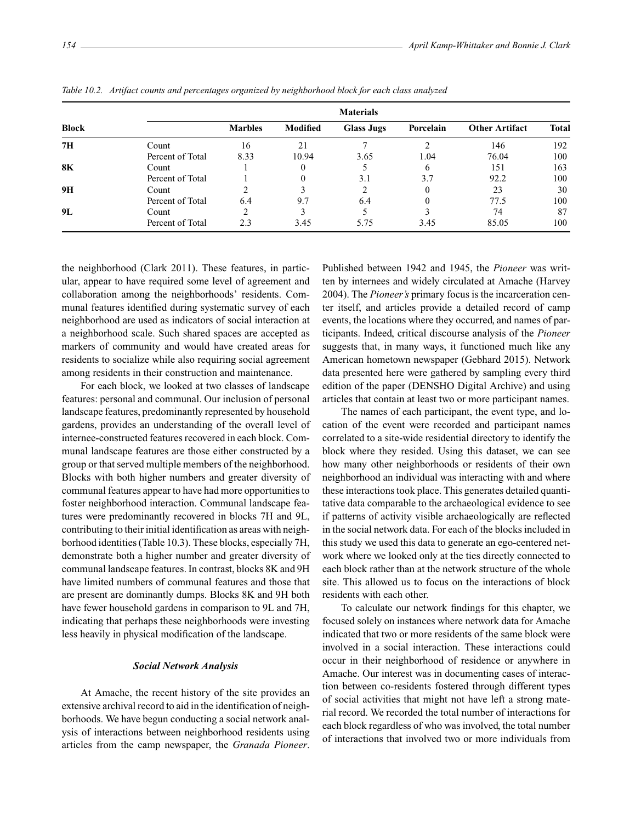| <b>Block</b> | <b>Materials</b> |                |                 |                   |           |                       |              |
|--------------|------------------|----------------|-----------------|-------------------|-----------|-----------------------|--------------|
|              |                  | <b>Marbles</b> | <b>Modified</b> | <b>Glass Jugs</b> | Porcelain | <b>Other Artifact</b> | <b>Total</b> |
| 7H           | Count            | 16             | 21              |                   |           | 146                   | 192          |
|              | Percent of Total | 8.33           | 10.94           | 3.65              | 1.04      | 76.04                 | 100          |
| <b>8K</b>    | Count            |                | $\theta$        |                   |           | 151                   | 163          |
|              | Percent of Total |                |                 | 3.1               | 3.7       | 92.2                  | 100          |
| 9H           | Count            |                |                 |                   | $\theta$  | 23                    | 30           |
|              | Percent of Total | 6.4            | 9.7             | 6.4               |           | 77.5                  | 100          |
| 9L           | Count            |                |                 |                   |           | 74                    | 87           |
|              | Percent of Total | 2.3            | 3.45            | 5.75              | 3.45      | 85.05                 | 100          |

*Table 10.2. Artifact counts and percentages organized by neighborhood block for each class analyzed*

the neighborhood (Clark 2011). These features, in particular, appear to have required some level of agreement and collaboration among the neighborhoods' residents. Communal features identified during systematic survey of each neighborhood are used as indicators of social interaction at a neighborhood scale. Such shared spaces are accepted as markers of community and would have created areas for residents to socialize while also requiring social agreement among residents in their construction and maintenance.

For each block, we looked at two classes of landscape features: personal and communal. Our inclusion of personal landscape features, predominantly represented by household gardens, provides an understanding of the overall level of internee-constructed features recovered in each block. Communal landscape features are those either constructed by a group or that served multiple members of the neighborhood. Blocks with both higher numbers and greater diversity of communal features appear to have had more opportunities to foster neighborhood interaction. Communal landscape features were predominantly recovered in blocks 7H and 9L, contributing to their initial identification as areas with neighborhood identities (Table 10.3). These blocks, especially 7H, demonstrate both a higher number and greater diversity of communal landscape features. In contrast, blocks 8K and 9H have limited numbers of communal features and those that are present are dominantly dumps. Blocks 8K and 9H both have fewer household gardens in comparison to 9L and 7H, indicating that perhaps these neighborhoods were investing less heavily in physical modification of the landscape.

#### *Social Network Analysis*

At Amache, the recent history of the site provides an extensive archival record to aid in the identification of neighborhoods. We have begun conducting a social network analysis of interactions between neighborhood residents using articles from the camp newspaper, the *Granada Pioneer*. Published between 1942 and 1945, the *Pioneer* was written by internees and widely circulated at Amache (Harvey 2004). The *Pioneer's* primary focus is the incarceration center itself, and articles provide a detailed record of camp events, the locations where they occurred, and names of participants. Indeed, critical discourse analysis of the *Pioneer* suggests that, in many ways, it functioned much like any American hometown newspaper (Gebhard 2015). Network data presented here were gathered by sampling every third edition of the paper (DENSHO Digital Archive) and using articles that contain at least two or more participant names.

The names of each participant, the event type, and location of the event were recorded and participant names correlated to a site-wide residential directory to identify the block where they resided. Using this dataset, we can see how many other neighborhoods or residents of their own neighborhood an individual was interacting with and where these interactions took place. This generates detailed quantitative data comparable to the archaeological evidence to see if patterns of activity visible archaeologically are reflected in the social network data. For each of the blocks included in this study we used this data to generate an ego-centered network where we looked only at the ties directly connected to each block rather than at the network structure of the whole site. This allowed us to focus on the interactions of block residents with each other.

To calculate our network findings for this chapter, we focused solely on instances where network data for Amache indicated that two or more residents of the same block were involved in a social interaction. These interactions could occur in their neighborhood of residence or anywhere in Amache. Our interest was in documenting cases of interaction between co-residents fostered through different types of social activities that might not have left a strong material record. We recorded the total number of interactions for each block regardless of who was involved, the total number of interactions that involved two or more individuals from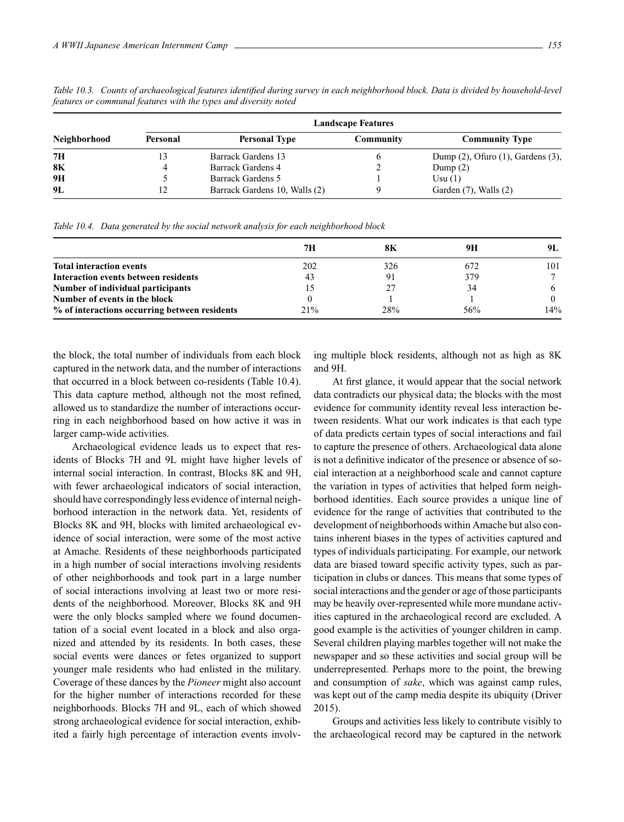|              | <b>Landscape Features</b> |                               |                  |                                            |  |  |
|--------------|---------------------------|-------------------------------|------------------|--------------------------------------------|--|--|
| Neighborhood | Personal                  | <b>Personal Type</b>          | <b>Community</b> | <b>Community Type</b>                      |  |  |
| 7H           | 13                        | Barrack Gardens 13            |                  | Dump $(2)$ , Ofuro $(1)$ , Gardens $(3)$ , |  |  |
| 8K           | 4                         | Barrack Gardens 4             |                  | Dump $(2)$                                 |  |  |
| 9H           |                           | Barrack Gardens 5             |                  | Usu $(1)$                                  |  |  |
| 9L           | 12                        | Barrack Gardens 10, Walls (2) |                  | Garden $(7)$ , Walls $(2)$                 |  |  |

*Table 10.3. Counts of archaeological features identified during survey in each neighborhood block. Data is divided by household-level features or communal features with the types and diversity noted*

*Table 10.4. Data generated by the social network analysis for each neighborhood block*

|                                               | 7Н  | 8К  | 9H  | 9L. |
|-----------------------------------------------|-----|-----|-----|-----|
| <b>Total interaction events</b>               | 202 | 326 | 672 | 101 |
| <b>Interaction events between residents</b>   | 43  |     | 379 |     |
| Number of individual participants             |     | 27  | 34  |     |
| Number of events in the block                 |     |     |     |     |
| % of interactions occurring between residents | 21% | 28% | 56% | 14% |

the block, the total number of individuals from each block captured in the network data, and the number of interactions that occurred in a block between co-residents (Table 10.4). This data capture method, although not the most refined, allowed us to standardize the number of interactions occurring in each neighborhood based on how active it was in larger camp-wide activities.

Archaeological evidence leads us to expect that residents of Blocks 7H and 9L might have higher levels of internal social interaction. In contrast, Blocks 8K and 9H, with fewer archaeological indicators of social interaction, should have correspondingly less evidence of internal neighborhood interaction in the network data. Yet, residents of Blocks 8K and 9H, blocks with limited archaeological evidence of social interaction, were some of the most active at Amache. Residents of these neighborhoods participated in a high number of social interactions involving residents of other neighborhoods and took part in a large number of social interactions involving at least two or more residents of the neighborhood. Moreover, Blocks 8K and 9H were the only blocks sampled where we found documentation of a social event located in a block and also organized and attended by its residents. In both cases, these social events were dances or fetes organized to support younger male residents who had enlisted in the military. Coverage of these dances by the *Pioneer* might also account for the higher number of interactions recorded for these neighborhoods. Blocks 7H and 9L, each of which showed strong archaeological evidence for social interaction, exhibited a fairly high percentage of interaction events involving multiple block residents, although not as high as 8K and 9H.

At first glance, it would appear that the social network data contradicts our physical data; the blocks with the most evidence for community identity reveal less interaction between residents. What our work indicates is that each type of data predicts certain types of social interactions and fail to capture the presence of others. Archaeological data alone is not a definitive indicator of the presence or absence of social interaction at a neighborhood scale and cannot capture the variation in types of activities that helped form neighborhood identities. Each source provides a unique line of evidence for the range of activities that contributed to the development of neighborhoods within Amache but also contains inherent biases in the types of activities captured and types of individuals participating. For example, our network data are biased toward specific activity types, such as participation in clubs or dances. This means that some types of social interactions and the gender or age of those participants may be heavily over-represented while more mundane activities captured in the archaeological record are excluded. A good example is the activities of younger children in camp. Several children playing marbles together will not make the newspaper and so these activities and social group will be underrepresented. Perhaps more to the point, the brewing and consumption of *sake*, which was against camp rules, was kept out of the camp media despite its ubiquity (Driver 2015).

Groups and activities less likely to contribute visibly to the archaeological record may be captured in the network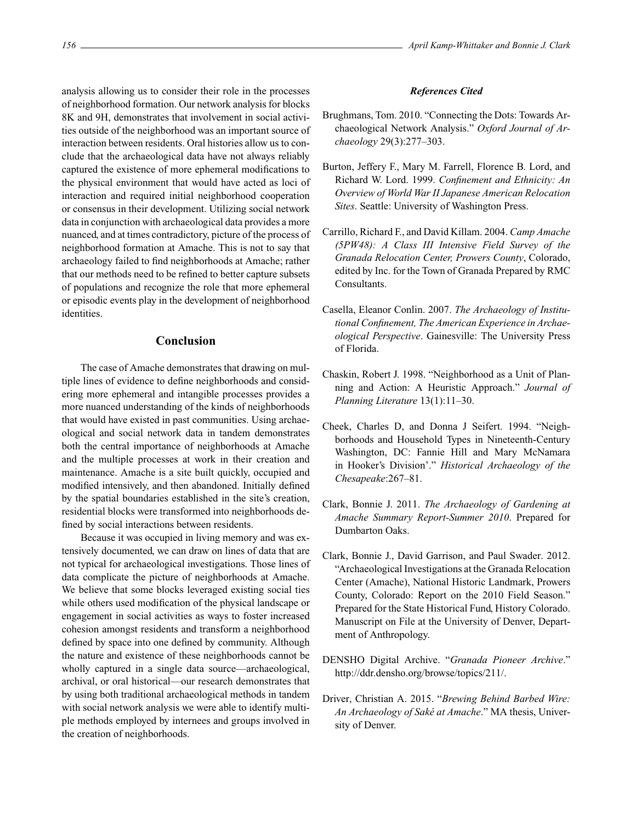analysis allowing us to consider their role in the processes of neighborhood formation. Our network analysis for blocks 8K and 9H, demonstrates that involvement in social activities outside of the neighborhood was an important source of interaction between residents. Oral histories allow us to conclude that the archaeological data have not always reliably captured the existence of more ephemeral modifications to the physical environment that would have acted as loci of interaction and required initial neighborhood cooperation or consensus in their development. Utilizing social network data in conjunction with archaeological data provides a more nuanced, and at times contradictory, picture of the process of neighborhood formation at Amache. This is not to say that archaeology failed to find neighborhoods at Amache; rather that our methods need to be refined to better capture subsets of populations and recognize the role that more ephemeral or episodic events play in the development of neighborhood **identities** 

## **Conclusion**

The case of Amache demonstrates that drawing on multiple lines of evidence to define neighborhoods and considering more ephemeral and intangible processes provides a more nuanced understanding of the kinds of neighborhoods that would have existed in past communities. Using archaeological and social network data in tandem demonstrates both the central importance of neighborhoods at Amache and the multiple processes at work in their creation and maintenance. Amache is a site built quickly, occupied and modified intensively, and then abandoned. Initially defined by the spatial boundaries established in the site's creation, residential blocks were transformed into neighborhoods defined by social interactions between residents.

Because it was occupied in living memory and was extensively documented, we can draw on lines of data that are not typical for archaeological investigations. Those lines of data complicate the picture of neighborhoods at Amache. We believe that some blocks leveraged existing social ties while others used modification of the physical landscape or engagement in social activities as ways to foster increased cohesion amongst residents and transform a neighborhood defined by space into one defined by community. Although the nature and existence of these neighborhoods cannot be wholly captured in a single data source—archaeological, archival, or oral historical—our research demonstrates that by using both traditional archaeological methods in tandem with social network analysis we were able to identify multiple methods employed by internees and groups involved in the creation of neighborhoods.

## *References Cited*

- Brughmans, Tom. 2010. "Connecting the Dots: Towards Archaeological Network Analysis." *Oxford Journal of Archaeology* 29(3):277–303.
- Burton, Jeffery F., Mary M. Farrell, Florence B. Lord, and Richard W. Lord. 1999. *Confinement and Ethnicity: An Overview of World War II Japanese American Relocation Sites*. Seattle: University of Washington Press.
- Carrillo, Richard F., and David Killam. 2004. *Camp Amache (5PW48): A Class III Intensive Field Survey of the Granada Relocation Center, Prowers County*, Colorado, edited by Inc. for the Town of Granada Prepared by RMC Consultants.
- Casella, Eleanor Conlin. 2007. *The Archaeology of Institutional Confinement, The American Experience in Archaeological Perspective*. Gainesville: The University Press of Florida.
- Chaskin, Robert J. 1998. "Neighborhood as a Unit of Planning and Action: A Heuristic Approach." *Journal of Planning Literature* 13(1):11–30.
- Cheek, Charles D, and Donna J Seifert. 1994. "Neighborhoods and Household Types in Nineteenth-Century Washington, DC: Fannie Hill and Mary McNamara in Hooker's Division'." *Historical Archaeology of the Chesapeake*:267–81.
- Clark, Bonnie J. 2011. *The Archaeology of Gardening at Amache Summary Report-Summer 2010*. Prepared for Dumbarton Oaks.
- Clark, Bonnie J., David Garrison, and Paul Swader. 2012. "Archaeological Investigations at the Granada Relocation Center (Amache), National Historic Landmark, Prowers County, Colorado: Report on the 2010 Field Season." Prepared for the State Historical Fund, History Colorado. Manuscript on File at the University of Denver, Department of Anthropology.
- DENSHO Digital Archive. "*Granada Pioneer Archive*." http://ddr.densho.org/browse/topics/211/.
- Driver, Christian A. 2015. "*Brewing Behind Barbed Wire: An Archaeology of Sake at Amache ´* ." MA thesis, University of Denver.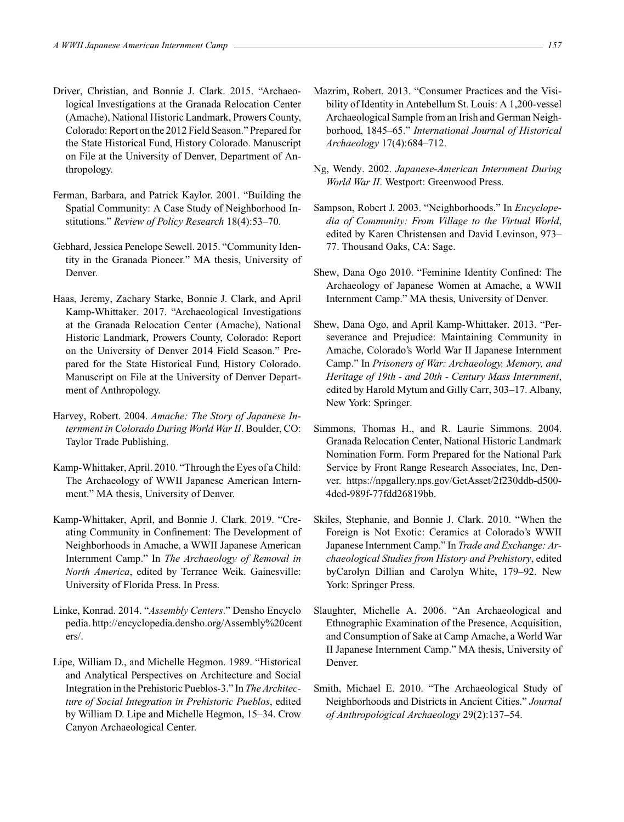- Driver, Christian, and Bonnie J. Clark. 2015. "Archaeological Investigations at the Granada Relocation Center (Amache), National Historic Landmark, Prowers County, Colorado: Report on the 2012 Field Season." Prepared for the State Historical Fund, History Colorado. Manuscript on File at the University of Denver, Department of Anthropology.
- Ferman, Barbara, and Patrick Kaylor. 2001. "Building the Spatial Community: A Case Study of Neighborhood Institutions." *Review of Policy Research* 18(4):53–70.
- Gebhard, Jessica Penelope Sewell. 2015. "Community Identity in the Granada Pioneer." MA thesis, University of Denver.
- Haas, Jeremy, Zachary Starke, Bonnie J. Clark, and April Kamp-Whittaker. 2017. "Archaeological Investigations at the Granada Relocation Center (Amache), National Historic Landmark, Prowers County, Colorado: Report on the University of Denver 2014 Field Season." Prepared for the State Historical Fund, History Colorado. Manuscript on File at the University of Denver Department of Anthropology.
- Harvey, Robert. 2004. *Amache: The Story of Japanese Internment in Colorado During World War II*. Boulder, CO: Taylor Trade Publishing.
- Kamp-Whittaker, April. 2010. "Through the Eyes of a Child: The Archaeology of WWII Japanese American Internment." MA thesis, University of Denver.
- Kamp-Whittaker, April, and Bonnie J. Clark. 2019. "Creating Community in Confinement: The Development of Neighborhoods in Amache, a WWII Japanese American Internment Camp." In *The Archaeology of Removal in North America*, edited by Terrance Weik. Gainesville: University of Florida Press. In Press.
- Linke, Konrad. 2014. "*Assembly Centers*." Densho Encyclo pedia. http://encyclopedia.densho.org/Assembly%20cent ers/.
- Lipe, William D., and Michelle Hegmon. 1989. "Historical and Analytical Perspectives on Architecture and Social Integration in the Prehistoric Pueblos-3." In *The Architecture of Social Integration in Prehistoric Pueblos*, edited by William D. Lipe and Michelle Hegmon, 15–34. Crow Canyon Archaeological Center.
- Mazrim, Robert. 2013. "Consumer Practices and the Visibility of Identity in Antebellum St. Louis: A 1,200-vessel Archaeological Sample from an Irish and German Neighborhood, 1845–65." *International Journal of Historical Archaeology* 17(4):684–712.
- Ng, Wendy. 2002. *Japanese-American Internment During World War II*. Westport: Greenwood Press.
- Sampson, Robert J. 2003. "Neighborhoods." In *Encyclopedia of Community: From Village to the Virtual World*, edited by Karen Christensen and David Levinson, 973– 77. Thousand Oaks, CA: Sage.
- Shew, Dana Ogo 2010. "Feminine Identity Confined: The Archaeology of Japanese Women at Amache, a WWII Internment Camp." MA thesis, University of Denver.
- Shew, Dana Ogo, and April Kamp-Whittaker. 2013. "Perseverance and Prejudice: Maintaining Community in Amache, Colorado's World War II Japanese Internment Camp." In *Prisoners of War: Archaeology, Memory, and Heritage of 19th - and 20th - Century Mass Internment*, edited by Harold Mytum and Gilly Carr, 303–17. Albany, New York: Springer.
- Simmons, Thomas H., and R. Laurie Simmons. 2004. Granada Relocation Center, National Historic Landmark Nomination Form. Form Prepared for the National Park Service by Front Range Research Associates, Inc, Denver. https://npgallery.nps.gov/GetAsset/2f230ddb-d500- 4dcd-989f-77fdd26819bb.
- Skiles, Stephanie, and Bonnie J. Clark. 2010. "When the Foreign is Not Exotic: Ceramics at Colorado's WWII Japanese Internment Camp." In *Trade and Exchange: Archaeological Studies from History and Prehistory*, edited byCarolyn Dillian and Carolyn White, 179–92. New York: Springer Press.
- Slaughter, Michelle A. 2006. "An Archaeological and Ethnographic Examination of the Presence, Acquisition, and Consumption of Sake at Camp Amache, a World War II Japanese Internment Camp." MA thesis, University of Denver.
- Smith, Michael E. 2010. "The Archaeological Study of Neighborhoods and Districts in Ancient Cities." *Journal of Anthropological Archaeology* 29(2):137–54.